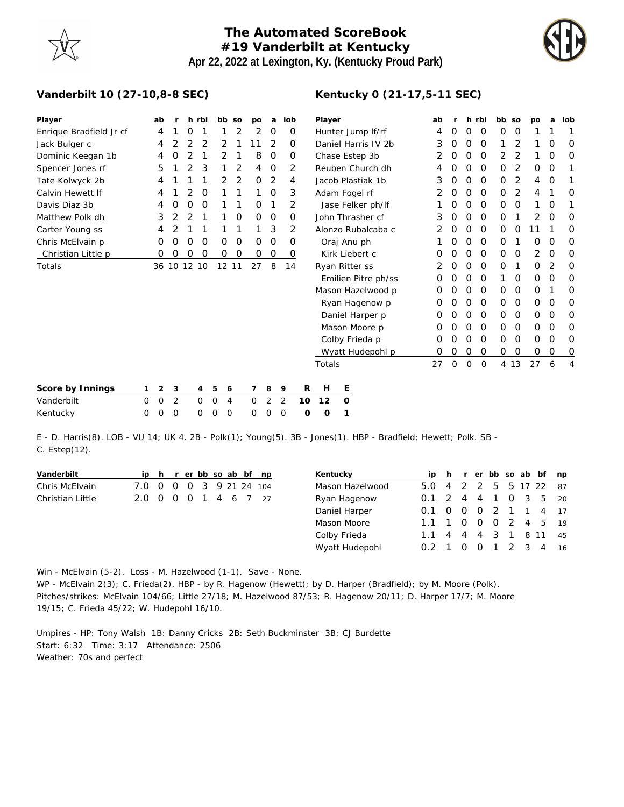## **The Automated ScoreBook #19 Vanderbilt at Kentucky Apr 22, 2022 at Lexington, Ky. (Kentucky Proud Park)**



## **Vanderbilt 10 (27-10,8-8 SEC)**

| Player                  |          | ab             | r              |                | h rbi          |             | bb so    | po           | a       | lob              |                | Player                           |          |                     |             | ab          | $\mathsf{r}$ |          | h rbi          | bb so    |             | po          | a        | lob            |
|-------------------------|----------|----------------|----------------|----------------|----------------|-------------|----------|--------------|---------|------------------|----------------|----------------------------------|----------|---------------------|-------------|-------------|--------------|----------|----------------|----------|-------------|-------------|----------|----------------|
| Enrique Bradfield Jr cf |          | 4              |                | O              |                |             | 2        | 2            | 0       |                  | 0              | Hunter Jump If/rf                |          |                     |             | 4           | 0            | 0        | 0              | 0        | 0           |             |          | 1              |
| Jack Bulger c           |          | 4              | 2              | 2              | 2              | 2           |          | 11           | 2       |                  | 0              | Daniel Harris IV 2b              |          |                     |             | 3           | 0            | 0        | 0              |          |             |             | O        | 0              |
| Dominic Keegan 1b       |          | 4              | Ο              | 2              |                | 2           |          | 8            | 0       |                  | 0              | Chase Estep 3b                   |          |                     |             | 2           | 0            | 0        | 0              | 2        | 2           |             | $\Omega$ | 0              |
| Spencer Jones rf        |          | 5              |                | 2              | 3              | 1           | 2        | 4            | $\circ$ |                  | 2              | Reuben Church dh                 |          |                     |             | 4           | 0            | 0        | $\mathcal{O}$  | 0        | 2           | $\mathbf 0$ | 0        | 1              |
| Tate Kolwyck 2b         |          | 4              |                |                |                | 2           | 2        | $\Omega$     | 2       |                  | 4              | Jacob Plastiak 1b                |          |                     |             | 3           | $\Omega$     | $\Omega$ | $\Omega$       | $\Omega$ | 2           | 4           | 0        | 1              |
| Calvin Hewett If        |          | 4              |                | 2              | O              | 1           | 1        |              | $\circ$ |                  | 3              | Adam Fogel rf                    |          |                     |             | 2           | 0            | 0        | 0              | 0        | 2           | 4           |          | 0              |
| Davis Diaz 3b           |          | 4              | Ο              | Ο              | O              |             |          | 0            | 1       |                  | 2              | Jase Felker ph/lf                |          |                     |             |             | $\Omega$     | $\Omega$ | 0              | 0        | 0           | 1           | 0        | 1              |
| Matthew Polk dh         |          | 3              | 2              | $\overline{2}$ |                |             | O        | $\Omega$     | 0       |                  | 0              | John Thrasher cf                 |          |                     |             | 3           | $\Omega$     | 0        | 0              | O        |             | 2           | 0        | 0              |
| Carter Young ss         |          | 4              |                |                |                |             |          |              | 3       |                  | 2              | Alonzo Rubalcaba c               |          |                     |             | 2           | O            | $\Omega$ | 0              | 0        | 0           | 11          |          | 0              |
| Chris McElvain p        |          | 0              | 0              | O              | O              | 0           | 0        | 0            | $\circ$ |                  | 0              | Oraj Anu ph                      |          |                     |             |             | O            | 0        | 0              | O        |             | 0           | 0        | 0              |
| Christian Little p      |          | O              | Ο              | Ο              | O              | 0           | 0        | 0            | 0       |                  | 0              | Kirk Liebert c                   |          |                     |             | O           | O            | $\Omega$ | $\Omega$       | $\Omega$ | 0           | 2           | 0        | O              |
| Totals                  |          | 36 10 12 10    |                |                |                |             | 12 11    | 27           | 8       | 14               |                | Ryan Ritter ss                   |          |                     | 2           | 0           | 0            | 0        | 0              | 1        | $\mathbf 0$ | 2           | 0        |                |
|                         |          |                |                |                |                |             |          |              |         |                  |                |                                  |          | Emilien Pitre ph/ss |             | 0           | O            | O        | 0              |          | 0           | $\mathbf 0$ | 0        | 0              |
|                         |          |                |                |                |                |             |          |              |         |                  |                |                                  |          | Mason Hazelwood p   |             | O           | O            | O        | 0              | 0        | 0           | $\Omega$    |          | 0              |
|                         |          |                |                |                |                |             |          |              |         |                  | Ryan Hagenow p |                                  |          |                     |             | $\left($    | $\left($     | O        | 0              | 0        | 0           | $\mathbf 0$ | 0        | 0              |
|                         |          |                |                |                |                |             |          |              |         |                  |                | Daniel Harper p<br>Mason Moore p |          |                     |             | O           | O            | 0        | $\circ$        | 0        | 0           | $\Omega$    | 0        | 0              |
|                         |          |                |                |                |                |             |          |              |         |                  |                |                                  |          |                     |             |             |              | O        | $\Omega$       | $\Omega$ | 0           | $\Omega$    | 0        | 0              |
|                         |          |                |                |                |                |             |          |              |         |                  |                |                                  |          | Colby Frieda p      |             | O           | 0            | 0        | $\circ$        | 0        | 0           | 0           | 0        | 0              |
|                         |          |                |                |                |                |             |          |              |         | Wyatt Hudepohl p |                | O                                | $\Omega$ | 0                   | $\mathbf 0$ | $\mathbf 0$ | $\mathbf 0$  | $\circ$  | $\circ$        | 0        |             |             |          |                |
|                         |          |                |                |                |                |             |          |              |         |                  |                | Totals                           |          |                     |             | 27          | 0            | 0        | $\overline{0}$ |          | 4 13        | 27          | 6        | $\overline{4}$ |
| Score by Innings        |          | 2              | 3              |                | $\overline{4}$ | 5           | 6        | 7            | 8       | 9                | R              | Н                                | E        |                     |             |             |              |          |                |          |             |             |          |                |
| Vanderbilt              | $\Omega$ | $\overline{O}$ | $\overline{2}$ |                | $\mathbf{0}$   | $\mathbf 0$ | 4        | $\mathbf{O}$ | 2       | 2                | 10             | 12                               | $\circ$  |                     |             |             |              |          |                |          |             |             |          |                |
| Kentucky                | $\Omega$ | $\mathcal{O}$  | $\Omega$       |                | 0              | $\Omega$    | $\Omega$ | O            | Ω       | $\Omega$         | O              | $\Omega$                         |          |                     |             |             |              |          |                |          |             |             |          |                |

E - D. Harris(8). LOB - VU 14; UK 4. 2B - Polk(1); Young(5). 3B - Jones(1). HBP - Bradfield; Hewett; Polk. SB - C. Estep(12).

| Vanderbilt       | ip h r er bb so ab bf np |     |  |  |                 |  | Kentucky        |                        |  |                |     |  | ip h r er bb so ab bf np |    |
|------------------|--------------------------|-----|--|--|-----------------|--|-----------------|------------------------|--|----------------|-----|--|--------------------------|----|
| Chris McElvain   | 7.0 0                    | - 0 |  |  | 0 3 9 21 24 104 |  | Mason Hazelwood | 5.0 4 2 2 5 5 17 22 87 |  |                |     |  |                          |    |
| Christian Little | 2.0 0 0 0 1 4 6 7 27     |     |  |  |                 |  | Ryan Hagenow    | $0.1 \quad 2 \quad 4$  |  | $\overline{4}$ |     |  | 1 0 3 5 20               |    |
|                  |                          |     |  |  |                 |  | Daniel Harper   | $0.1 \quad 0 \quad 0$  |  | <sup>O</sup>   |     |  | 2 1 1 4 17               |    |
|                  |                          |     |  |  |                 |  | Mason Moore     | 1.1 1 0 0              |  |                |     |  | 0 2 4 5 19               |    |
|                  |                          |     |  |  |                 |  | Colby Frieda    | $1.1 \quad 4 \quad 4$  |  |                | 4 3 |  | 1 8 11                   | 45 |
|                  |                          |     |  |  |                 |  | Wyatt Hudepohl  | $0.2 \pm 1$            |  |                |     |  | $\overline{4}$           | 16 |

Win - McElvain (5-2). Loss - M. Hazelwood (1-1). Save - None.

WP - McElvain 2(3); C. Frieda(2). HBP - by R. Hagenow (Hewett); by D. Harper (Bradfield); by M. Moore (Polk). Pitches/strikes: McElvain 104/66; Little 27/18; M. Hazelwood 87/53; R. Hagenow 20/11; D. Harper 17/7; M. Moore 19/15; C. Frieda 45/22; W. Hudepohl 16/10.

Umpires - HP: Tony Walsh 1B: Danny Cricks 2B: Seth Buckminster 3B: CJ Burdette Start: 6:32 Time: 3:17 Attendance: 2506 Weather: 70s and perfect

## **Kentucky 0 (21-17,5-11 SEC)**